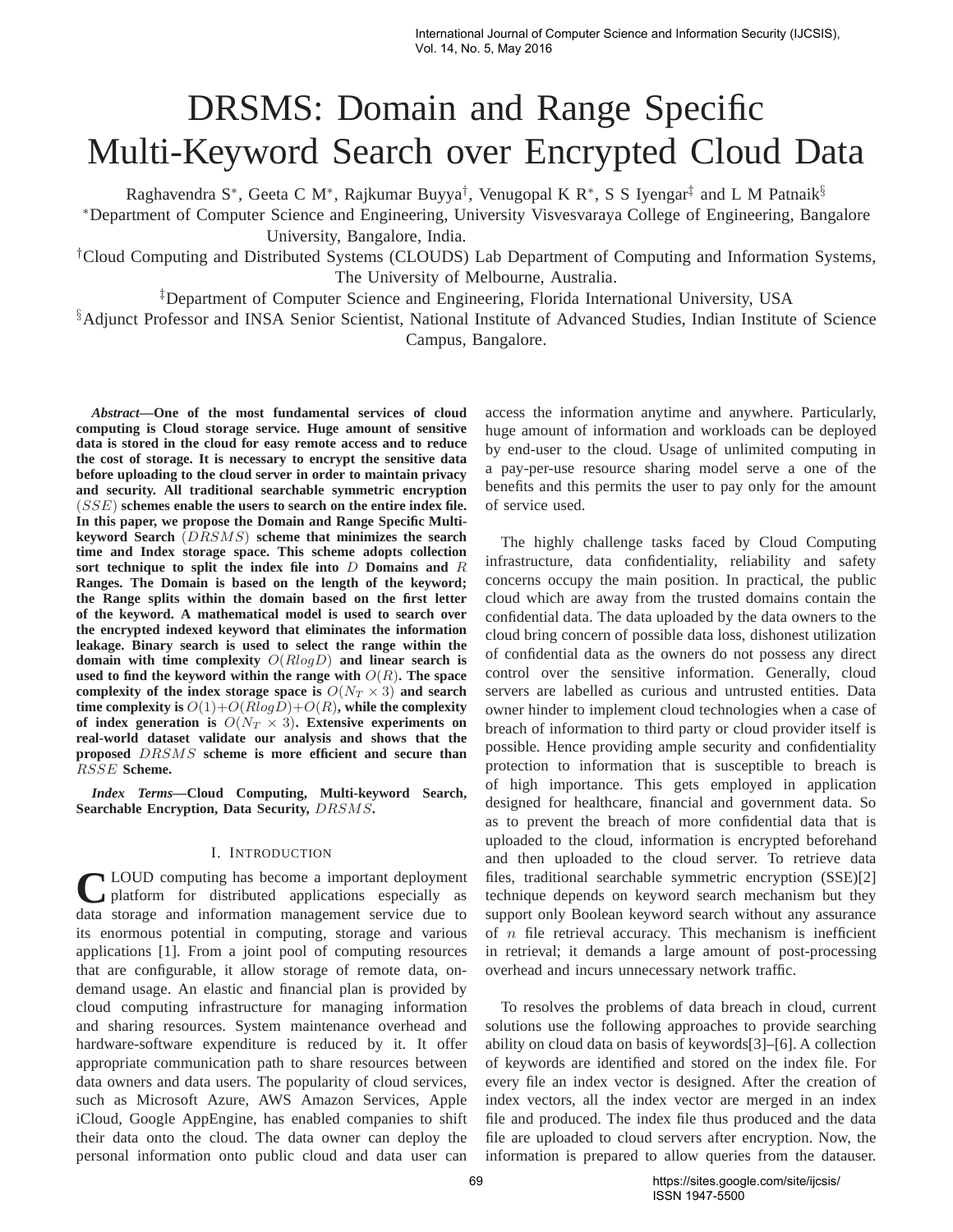# DRSMS: Domain and Range Specific Multi-Keyword Search over Encrypted Cloud Data

Raghavendra S\*, Geeta C M\*, Rajkumar Buyya<sup>†</sup>, Venugopal K R\*, S S Iyengar<sup>‡</sup> and L M Patnaik<sup>§</sup>

<sup>∗</sup>Department of Computer Science and Engineering, University Visvesvaraya College of Engineering, Bangalore University, Bangalore, India.

†Cloud Computing and Distributed Systems (CLOUDS) Lab Department of Computing and Information Systems, The University of Melbourne, Australia.

‡Department of Computer Science and Engineering, Florida International University, USA

§Adjunct Professor and INSA Senior Scientist, National Institute of Advanced Studies, Indian Institute of Science Campus, Bangalore.

*Abstract***—One of the most fundamental services of cloud computing is Cloud storage service. Huge amount of sensitive data is stored in the cloud for easy remote access and to reduce the cost of storage. It is necessary to encrypt the sensitive data before uploading to the cloud server in order to maintain privacy and security. All traditional searchable symmetric encryption** (SSE) **schemes enable the users to search on the entire index file. In this paper, we propose the Domain and Range Specific Multikeyword Search** (DRSMS) **scheme that minimizes the search time and Index storage space. This scheme adopts collection sort technique to split the index file into** D **Domains and** R **Ranges. The Domain is based on the length of the keyword; the Range splits within the domain based on the first letter of the keyword. A mathematical model is used to search over the encrypted indexed keyword that eliminates the information leakage. Binary search is used to select the range within the domain with time complexity** O(RlogD) **and linear search is used to find the keyword within the range with** O(R)**. The space** complexity of the index storage space is  $O(N_T \times 3)$  and search **time complexity is**  $O(1) + O(R \log D) + O(R)$ , while the complexity of index generation is  $O(N_T \times 3)$ . Extensive experiments on **real-world dataset validate our analysis and shows that the proposed** DRSMS **scheme is more efficient and secure than** RSSE **Scheme.**

*Index Terms***—Cloud Computing, Multi-keyword Search, Searchable Encryption, Data Security,** DRSMS**.**

## I. INTRODUCTION

**C** LOUD computing has become a important deployment platform for distributed applications especially as data storage and information management service due to LOUD computing has become a important deployment platform for distributed applications especially as its enormous potential in computing, storage and various applications [1]. From a joint pool of computing resources that are configurable, it allow storage of remote data, ondemand usage. An elastic and financial plan is provided by cloud computing infrastructure for managing information and sharing resources. System maintenance overhead and hardware-software expenditure is reduced by it. It offer appropriate communication path to share resources between data owners and data users. The popularity of cloud services, such as Microsoft Azure, AWS Amazon Services, Apple iCloud, Google AppEngine, has enabled companies to shift their data onto the cloud. The data owner can deploy the personal information onto public cloud and data user can

access the information anytime and anywhere. Particularly, huge amount of information and workloads can be deployed by end-user to the cloud. Usage of unlimited computing in a pay-per-use resource sharing model serve a one of the benefits and this permits the user to pay only for the amount of service used.

The highly challenge tasks faced by Cloud Computing infrastructure, data confidentiality, reliability and safety concerns occupy the main position. In practical, the public cloud which are away from the trusted domains contain the confidential data. The data uploaded by the data owners to the cloud bring concern of possible data loss, dishonest utilization of confidential data as the owners do not possess any direct control over the sensitive information. Generally, cloud servers are labelled as curious and untrusted entities. Data owner hinder to implement cloud technologies when a case of breach of information to third party or cloud provider itself is possible. Hence providing ample security and confidentiality protection to information that is susceptible to breach is of high importance. This gets employed in application designed for healthcare, financial and government data. So as to prevent the breach of more confidential data that is uploaded to the cloud, information is encrypted beforehand and then uploaded to the cloud server. To retrieve data files, traditional searchable symmetric encryption (SSE)[2] technique depends on keyword search mechanism but they support only Boolean keyword search without any assurance of  $n$  file retrieval accuracy. This mechanism is inefficient in retrieval; it demands a large amount of post-processing overhead and incurs unnecessary network traffic.

To resolves the problems of data breach in cloud, current solutions use the following approaches to provide searching ability on cloud data on basis of keywords[3]–[6]. A collection of keywords are identified and stored on the index file. For every file an index vector is designed. After the creation of index vectors, all the index vector are merged in an index file and produced. The index file thus produced and the data file are uploaded to cloud servers after encryption. Now, the information is prepared to allow queries from the datauser.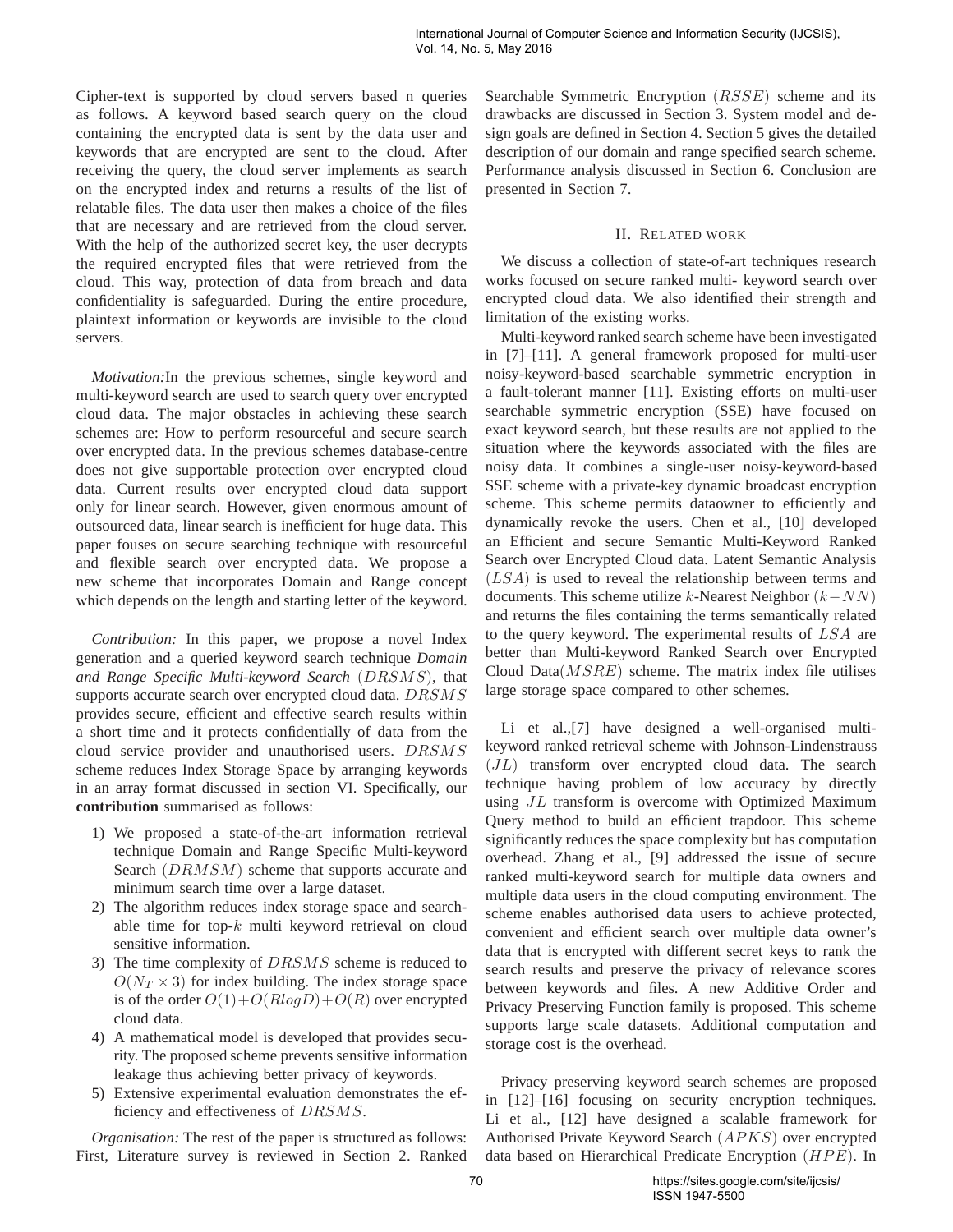Cipher-text is supported by cloud servers based n queries as follows. A keyword based search query on the cloud containing the encrypted data is sent by the data user and keywords that are encrypted are sent to the cloud. After receiving the query, the cloud server implements as search on the encrypted index and returns a results of the list of relatable files. The data user then makes a choice of the files that are necessary and are retrieved from the cloud server. With the help of the authorized secret key, the user decrypts the required encrypted files that were retrieved from the cloud. This way, protection of data from breach and data confidentiality is safeguarded. During the entire procedure, plaintext information or keywords are invisible to the cloud servers.

*Motivation:*In the previous schemes, single keyword and multi-keyword search are used to search query over encrypted cloud data. The major obstacles in achieving these search schemes are: How to perform resourceful and secure search over encrypted data. In the previous schemes database-centre does not give supportable protection over encrypted cloud data. Current results over encrypted cloud data support only for linear search. However, given enormous amount of outsourced data, linear search is inefficient for huge data. This paper fouses on secure searching technique with resourceful and flexible search over encrypted data. We propose a new scheme that incorporates Domain and Range concept which depends on the length and starting letter of the keyword.

*Contribution:* In this paper, we propose a novel Index generation and a queried keyword search technique *Domain and Range Specific Multi-keyword Search* (DRSMS), that supports accurate search over encrypted cloud data. DRSMS provides secure, efficient and effective search results within a short time and it protects confidentially of data from the cloud service provider and unauthorised users. DRSMS scheme reduces Index Storage Space by arranging keywords in an array format discussed in section VI. Specifically, our **contribution** summarised as follows:

- 1) We proposed a state-of-the-art information retrieval technique Domain and Range Specific Multi-keyword Search (DRMSM) scheme that supports accurate and minimum search time over a large dataset.
- 2) The algorithm reduces index storage space and searchable time for top- $k$  multi keyword retrieval on cloud sensitive information.
- 3) The time complexity of  $DRSMS$  scheme is reduced to  $O(N_T \times 3)$  for index building. The index storage space is of the order  $O(1)+O(Rlog D)+O(R)$  over encrypted cloud data.
- 4) A mathematical model is developed that provides security. The proposed scheme prevents sensitive information leakage thus achieving better privacy of keywords.
- 5) Extensive experimental evaluation demonstrates the efficiency and effectiveness of DRSMS.

*Organisation:* The rest of the paper is structured as follows: First, Literature survey is reviewed in Section 2. Ranked Searchable Symmetric Encryption (RSSE) scheme and its drawbacks are discussed in Section 3. System model and design goals are defined in Section 4. Section 5 gives the detailed description of our domain and range specified search scheme. Performance analysis discussed in Section 6. Conclusion are presented in Section 7.

# II. RELATED WORK

We discuss a collection of state-of-art techniques research works focused on secure ranked multi- keyword search over encrypted cloud data. We also identified their strength and limitation of the existing works.

Multi-keyword ranked search scheme have been investigated in [7]–[11]. A general framework proposed for multi-user noisy-keyword-based searchable symmetric encryption in a fault-tolerant manner [11]. Existing efforts on multi-user searchable symmetric encryption (SSE) have focused on exact keyword search, but these results are not applied to the situation where the keywords associated with the files are noisy data. It combines a single-user noisy-keyword-based SSE scheme with a private-key dynamic broadcast encryption scheme. This scheme permits dataowner to efficiently and dynamically revoke the users. Chen et al., [10] developed an Efficient and secure Semantic Multi-Keyword Ranked Search over Encrypted Cloud data. Latent Semantic Analysis (LSA) is used to reveal the relationship between terms and documents. This scheme utilize k-Nearest Neighbor  $(k-NN)$ and returns the files containing the terms semantically related to the query keyword. The experimental results of LSA are better than Multi-keyword Ranked Search over Encrypted Cloud  $Data(MSRE)$  scheme. The matrix index file utilises large storage space compared to other schemes.

Li et al.,[7] have designed a well-organised multikeyword ranked retrieval scheme with Johnson-Lindenstrauss (JL) transform over encrypted cloud data. The search technique having problem of low accuracy by directly using JL transform is overcome with Optimized Maximum Query method to build an efficient trapdoor. This scheme significantly reduces the space complexity but has computation overhead. Zhang et al., [9] addressed the issue of secure ranked multi-keyword search for multiple data owners and multiple data users in the cloud computing environment. The scheme enables authorised data users to achieve protected, convenient and efficient search over multiple data owner's data that is encrypted with different secret keys to rank the search results and preserve the privacy of relevance scores between keywords and files. A new Additive Order and Privacy Preserving Function family is proposed. This scheme supports large scale datasets. Additional computation and storage cost is the overhead.

Privacy preserving keyword search schemes are proposed in [12]–[16] focusing on security encryption techniques. Li et al., [12] have designed a scalable framework for Authorised Private Keyword Search (APKS) over encrypted data based on Hierarchical Predicate Encryption  $(HPE)$ . In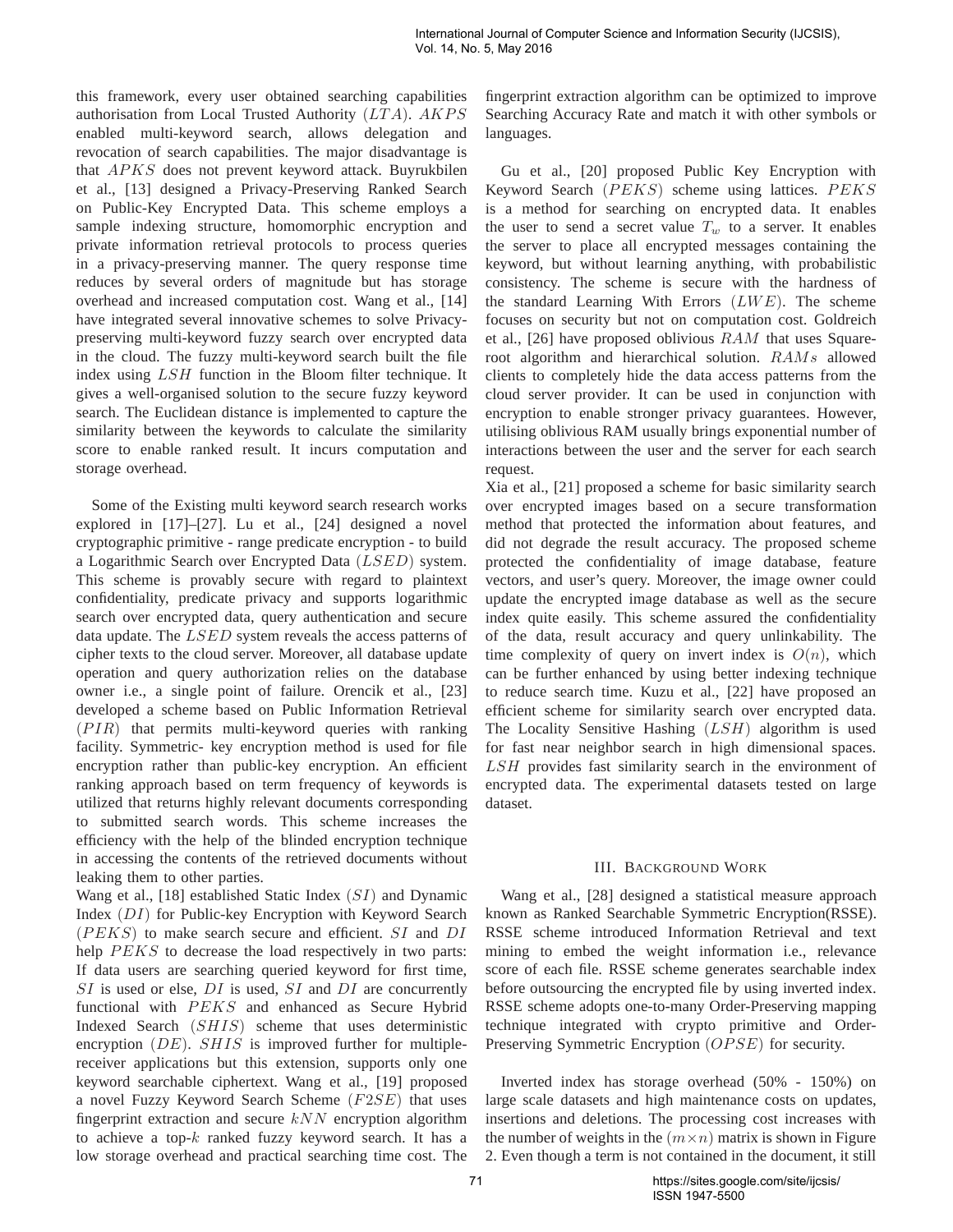this framework, every user obtained searching capabilities authorisation from Local Trusted Authority  $(LTA)$ .  $AKPS$ enabled multi-keyword search, allows delegation and revocation of search capabilities. The major disadvantage is that APKS does not prevent keyword attack. Buyrukbilen et al., [13] designed a Privacy-Preserving Ranked Search on Public-Key Encrypted Data. This scheme employs a sample indexing structure, homomorphic encryption and private information retrieval protocols to process queries in a privacy-preserving manner. The query response time reduces by several orders of magnitude but has storage overhead and increased computation cost. Wang et al., [14] have integrated several innovative schemes to solve Privacypreserving multi-keyword fuzzy search over encrypted data in the cloud. The fuzzy multi-keyword search built the file index using LSH function in the Bloom filter technique. It gives a well-organised solution to the secure fuzzy keyword search. The Euclidean distance is implemented to capture the similarity between the keywords to calculate the similarity score to enable ranked result. It incurs computation and storage overhead.

Some of the Existing multi keyword search research works explored in [17]–[27]. Lu et al., [24] designed a novel cryptographic primitive - range predicate encryption - to build a Logarithmic Search over Encrypted Data (LSED) system. This scheme is provably secure with regard to plaintext confidentiality, predicate privacy and supports logarithmic search over encrypted data, query authentication and secure data update. The LSED system reveals the access patterns of cipher texts to the cloud server. Moreover, all database update operation and query authorization relies on the database owner i.e., a single point of failure. Orencik et al., [23] developed a scheme based on Public Information Retrieval  $(PIR)$  that permits multi-keyword queries with ranking facility. Symmetric- key encryption method is used for file encryption rather than public-key encryption. An efficient ranking approach based on term frequency of keywords is utilized that returns highly relevant documents corresponding to submitted search words. This scheme increases the efficiency with the help of the blinded encryption technique in accessing the contents of the retrieved documents without leaking them to other parties.

Wang et al., [18] established Static Index (SI) and Dynamic Index (DI) for Public-key Encryption with Keyword Search  $(PEKS)$  to make search secure and efficient. SI and DI help  $PEKS$  to decrease the load respectively in two parts: If data users are searching queried keyword for first time,  $SI$  is used or else,  $DI$  is used,  $SI$  and  $DI$  are concurrently functional with  $PEKS$  and enhanced as Secure Hybrid Indexed Search (SHIS) scheme that uses deterministic encryption  $(DE)$ . SHIS is improved further for multiplereceiver applications but this extension, supports only one keyword searchable ciphertext. Wang et al., [19] proposed a novel Fuzzy Keyword Search Scheme  $(F2SE)$  that uses fingerprint extraction and secure  $kNN$  encryption algorithm to achieve a top- $k$  ranked fuzzy keyword search. It has a low storage overhead and practical searching time cost. The fingerprint extraction algorithm can be optimized to improve Searching Accuracy Rate and match it with other symbols or languages.

Gu et al., [20] proposed Public Key Encryption with Keyword Search  $(PEKS)$  scheme using lattices.  $PEKS$ is a method for searching on encrypted data. It enables the user to send a secret value  $T_w$  to a server. It enables the server to place all encrypted messages containing the keyword, but without learning anything, with probabilistic consistency. The scheme is secure with the hardness of the standard Learning With Errors  $(LWE)$ . The scheme focuses on security but not on computation cost. Goldreich et al., [26] have proposed oblivious  $RAM$  that uses Squareroot algorithm and hierarchical solution. RAMs allowed clients to completely hide the data access patterns from the cloud server provider. It can be used in conjunction with encryption to enable stronger privacy guarantees. However, utilising oblivious RAM usually brings exponential number of interactions between the user and the server for each search request.

Xia et al., [21] proposed a scheme for basic similarity search over encrypted images based on a secure transformation method that protected the information about features, and did not degrade the result accuracy. The proposed scheme protected the confidentiality of image database, feature vectors, and user's query. Moreover, the image owner could update the encrypted image database as well as the secure index quite easily. This scheme assured the confidentiality of the data, result accuracy and query unlinkability. The time complexity of query on invert index is  $O(n)$ , which can be further enhanced by using better indexing technique to reduce search time. Kuzu et al., [22] have proposed an efficient scheme for similarity search over encrypted data. The Locality Sensitive Hashing  $(LSH)$  algorithm is used for fast near neighbor search in high dimensional spaces. LSH provides fast similarity search in the environment of encrypted data. The experimental datasets tested on large dataset.

# III. BACKGROUND WORK

Wang et al., [28] designed a statistical measure approach known as Ranked Searchable Symmetric Encryption(RSSE). RSSE scheme introduced Information Retrieval and text mining to embed the weight information i.e., relevance score of each file. RSSE scheme generates searchable index before outsourcing the encrypted file by using inverted index. RSSE scheme adopts one-to-many Order-Preserving mapping technique integrated with crypto primitive and Order-Preserving Symmetric Encryption (OPSE) for security.

Inverted index has storage overhead (50% - 150%) on large scale datasets and high maintenance costs on updates, insertions and deletions. The processing cost increases with the number of weights in the  $(m \times n)$  matrix is shown in Figure 2. Even though a term is not contained in the document, it still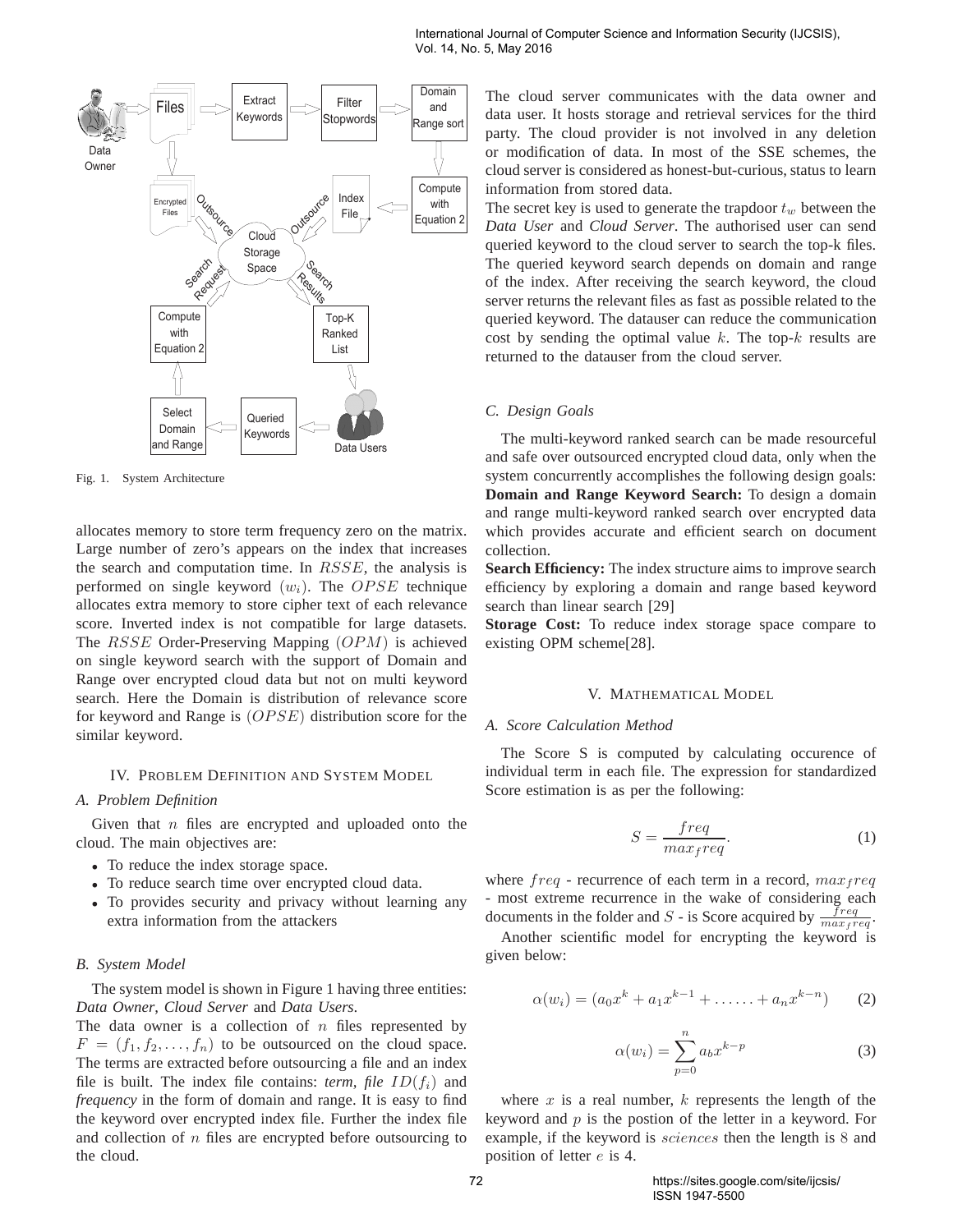

Fig. 1. System Architecture

allocates memory to store term frequency zero on the matrix. Large number of zero's appears on the index that increases the search and computation time. In  $RSSE$ , the analysis is performed on single keyword  $(w_i)$ . The OPSE technique allocates extra memory to store cipher text of each relevance score. Inverted index is not compatible for large datasets. The RSSE Order-Preserving Mapping (OPM) is achieved on single keyword search with the support of Domain and Range over encrypted cloud data but not on multi keyword search. Here the Domain is distribution of relevance score for keyword and Range is  $(OPSE)$  distribution score for the similar keyword.

#### IV. PROBLEM DEFINITION AND SYSTEM MODEL

# *A. Problem Definition*

Given that  $n$  files are encrypted and uploaded onto the cloud. The main objectives are:

- To reduce the index storage space.
- To reduce search time over encrypted cloud data.
- To provides security and privacy without learning any extra information from the attackers

## *B. System Model*

The system model is shown in Figure 1 having three entities: *Data Owner*, *Cloud Server* and *Data Users*.

The data owner is a collection of  $n$  files represented by  $F = (f_1, f_2, \ldots, f_n)$  to be outsourced on the cloud space. The terms are extracted before outsourcing a file and an index file is built. The index file contains: *term, file*  $ID(f_i)$  and *frequency* in the form of domain and range. It is easy to find the keyword over encrypted index file. Further the index file and collection of  $n$  files are encrypted before outsourcing to the cloud.

The cloud server communicates with the data owner and data user. It hosts storage and retrieval services for the third party. The cloud provider is not involved in any deletion or modification of data. In most of the SSE schemes, the cloud server is considered as honest-but-curious, status to learn information from stored data.

The secret key is used to generate the trapdoor  $t_w$  between the *Data User* and *Cloud Server*. The authorised user can send queried keyword to the cloud server to search the top-k files. The queried keyword search depends on domain and range of the index. After receiving the search keyword, the cloud server returns the relevant files as fast as possible related to the queried keyword. The datauser can reduce the communication cost by sending the optimal value  $k$ . The top- $k$  results are returned to the datauser from the cloud server.

# *C. Design Goals*

The multi-keyword ranked search can be made resourceful and safe over outsourced encrypted cloud data, only when the system concurrently accomplishes the following design goals: **Domain and Range Keyword Search:** To design a domain and range multi-keyword ranked search over encrypted data which provides accurate and efficient search on document collection.

**Search Efficiency:** The index structure aims to improve search efficiency by exploring a domain and range based keyword search than linear search [29]

**Storage Cost:** To reduce index storage space compare to existing OPM scheme[28].

## V. MATHEMATICAL MODEL

# *A. Score Calculation Method*

The Score S is computed by calculating occurence of individual term in each file. The expression for standardized Score estimation is as per the following:

$$
S = \frac{freq}{max_freq}.
$$
 (1)

where  $freq$  - recurrence of each term in a record,  $max_f req$ - most extreme recurrence in the wake of considering each documents in the folder and S - is Score acquired by  $\frac{freq}{max_freq}$ .

Another scientific model for encrypting the keyword is given below:

$$
\alpha(w_i) = (a_0 x^k + a_1 x^{k-1} + \dots + a_n x^{k-n}) \tag{2}
$$

$$
\alpha(w_i) = \sum_{p=0}^{n} a_b x^{k-p} \tag{3}
$$

where  $x$  is a real number,  $k$  represents the length of the keyword and  $p$  is the postion of the letter in a keyword. For example, if the keyword is sciences then the length is 8 and position of letter e is 4.

72 https://sites.google.com/site/ijcsis/ ISSN 1947-5500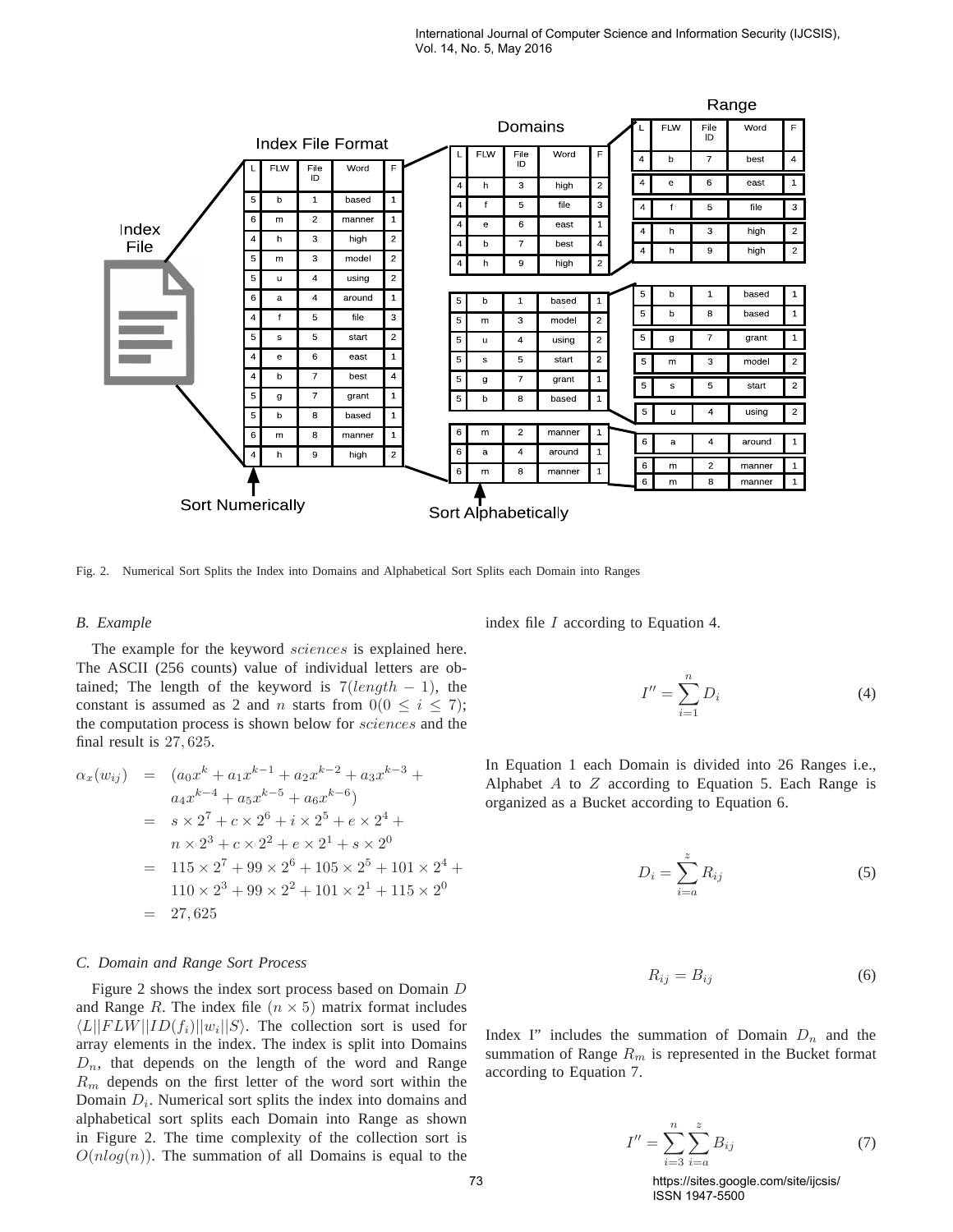

Fig. 2. Numerical Sort Splits the Index into Domains and Alphabetical Sort Splits each Domain into Ranges

#### *B. Example*

The example for the keyword sciences is explained here. The ASCII (256 counts) value of individual letters are obtained; The length of the keyword is  $7(length - 1)$ , the constant is assumed as 2 and *n* starts from  $0(0 \le i \le 7)$ ; the computation process is shown below for sciences and the final result is 27, 625.

$$
\alpha_x(w_{ij}) = (a_0x^k + a_1x^{k-1} + a_2x^{k-2} + a_3x^{k-3} + a_4x^{k-4} + a_5x^{k-5} + a_6x^{k-6})
$$
  
=  $s \times 2^7 + c \times 2^6 + i \times 2^5 + e \times 2^4 +$   
 $n \times 2^3 + c \times 2^2 + e \times 2^1 + s \times 2^0$   
=  $115 \times 2^7 + 99 \times 2^6 + 105 \times 2^5 + 101 \times 2^4 +$   
 $110 \times 2^3 + 99 \times 2^2 + 101 \times 2^1 + 115 \times 2^0$   
= 27,625

## *C. Domain and Range Sort Process*

Figure 2 shows the index sort process based on Domain D and Range R. The index file  $(n \times 5)$  matrix format includes  $\langle L||FLW||ID(f_i)||w_i||S\rangle$ . The collection sort is used for array elements in the index. The index is split into Domains  $D_n$ , that depends on the length of the word and Range  $R_m$  depends on the first letter of the word sort within the Domain  $D_i$ . Numerical sort splits the index into domains and alphabetical sort splits each Domain into Range as shown in Figure 2. The time complexity of the collection sort is  $O(n \log(n))$ . The summation of all Domains is equal to the

index file I according to Equation 4.

$$
I'' = \sum_{i=1}^{n} D_i
$$
 (4)

In Equation 1 each Domain is divided into 26 Ranges i.e., Alphabet  $A$  to  $Z$  according to Equation 5. Each Range is organized as a Bucket according to Equation 6.

$$
D_i = \sum_{i=a}^{z} R_{ij} \tag{5}
$$

$$
R_{ij} = B_{ij} \tag{6}
$$

Index I" includes the summation of Domain  $D_n$  and the summation of Range  $R_m$  is represented in the Bucket format according to Equation 7.

$$
I'' = \sum_{i=3}^{n} \sum_{i=a}^{z} B_{ij}
$$
 (7)

73 https://sites.google.com/site/ijcsis/ ISSN 1947-5500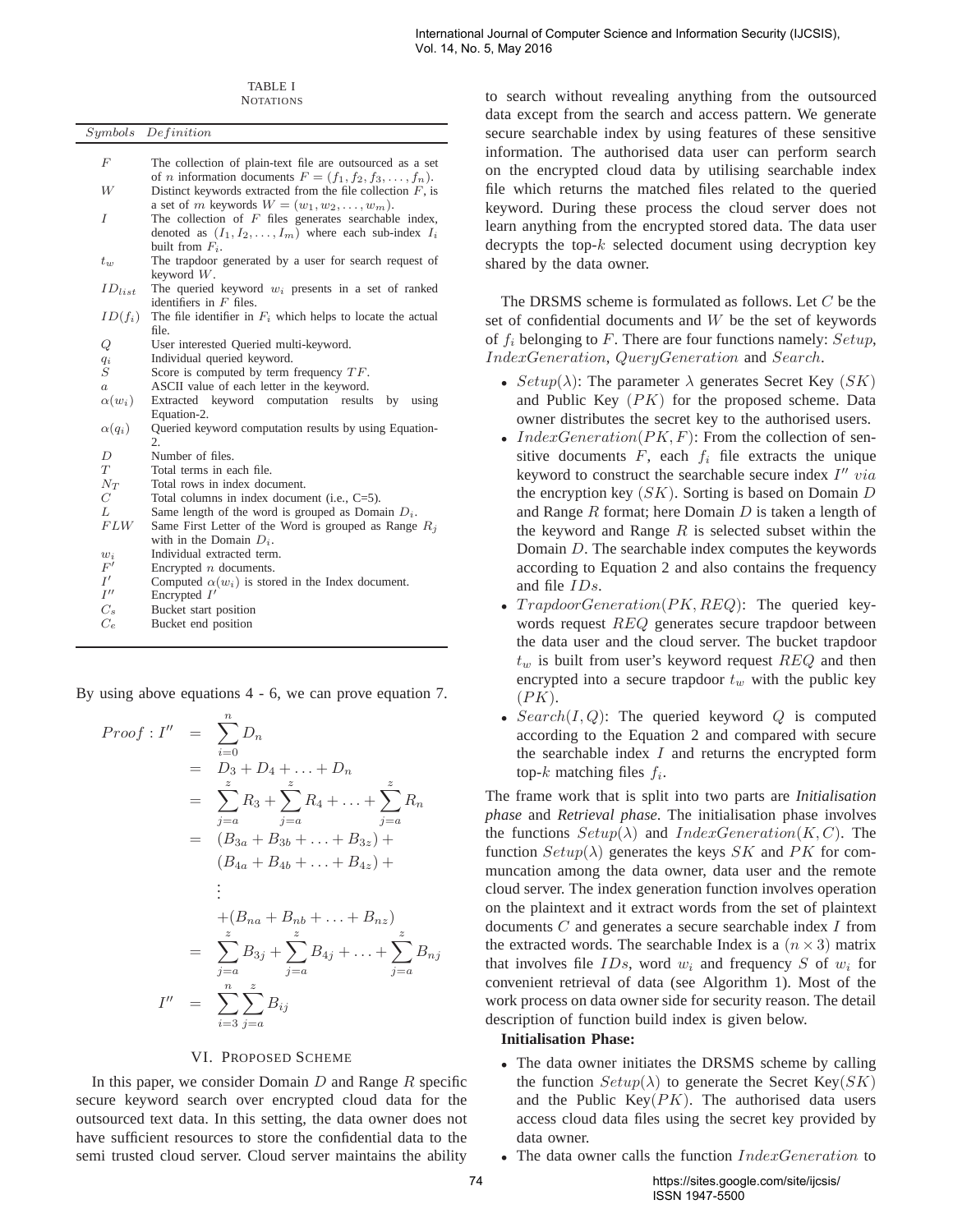TABLE I **NOTATIONS** 

|                    | Symbols Definition                                                                                            |
|--------------------|---------------------------------------------------------------------------------------------------------------|
|                    |                                                                                                               |
| F                  | The collection of plain-text file are outsourced as a set                                                     |
|                    | of <i>n</i> information documents $F = (f_1, f_2, f_3, \ldots, f_n)$ .                                        |
| W                  | Distinct keywords extracted from the file collection $F$ , is                                                 |
| $\overline{I}$     | a set of m keywords $W = (w_1, w_2, \dots, w_m)$ .<br>The collection of $F$ files generates searchable index, |
|                    | denoted as $(I_1, I_2, \ldots, I_m)$ where each sub-index $I_i$                                               |
|                    | built from $F_i$ .                                                                                            |
| $t_w$              | The trapdoor generated by a user for search request of                                                        |
|                    | keyword $W$ .                                                                                                 |
| $ID_{list}$        | The queried keyword $w_i$ presents in a set of ranked                                                         |
|                    | identifiers in $F$ files.                                                                                     |
| $ID(f_i)$          | The file identifier in $F_i$ which helps to locate the actual                                                 |
|                    | file.                                                                                                         |
| Q                  | User interested Queried multi-keyword.                                                                        |
| $q_i$<br>S         | Individual queried keyword.<br>Score is computed by term frequency $TF$ .                                     |
| $\boldsymbol{a}$   | ASCII value of each letter in the keyword.                                                                    |
| $\alpha(w_i)$      | Extracted keyword computation results by<br>using                                                             |
|                    | Equation-2.                                                                                                   |
| $\alpha(q_i)$      | Queried keyword computation results by using Equation-                                                        |
|                    | 2.                                                                                                            |
| D                  | Number of files.                                                                                              |
| T                  | Total terms in each file.                                                                                     |
| $N_T$<br>C         | Total rows in index document.                                                                                 |
| L                  | Total columns in index document (i.e., $C=5$ ).<br>Same length of the word is grouped as Domain $D_i$ .       |
| FLW                | Same First Letter of the Word is grouped as Range $R_i$                                                       |
|                    | with in the Domain $D_i$ .                                                                                    |
| $w_i$              | Individual extracted term.                                                                                    |
| $F^{\prime}$       | Encrypted $n$ documents.                                                                                      |
| I'                 | Computed $\alpha(w_i)$ is stored in the Index document.                                                       |
| $I^{\prime\prime}$ | Encrypted $I'$                                                                                                |
| $C_s$              | Bucket start position                                                                                         |
| $C_e$              | Bucket end position                                                                                           |
|                    |                                                                                                               |

By using above equations 4 - 6, we can prove equation 7.

Proof : 
$$
I''
$$
 =  $\sum_{i=0}^{n} D_n$   
\n=  $D_3 + D_4 + ... + D_n$   
\n=  $\sum_{j=a}^{z} R_3 + \sum_{j=a}^{z} R_4 + ... + \sum_{j=a}^{z} R_n$   
\n=  $(B_{3a} + B_{3b} + ... + B_{3z}) +$   
\n $(B_{4a} + B_{4b} + ... + B_{4z}) +$   
\n:  
\n+ $(B_{na} + B_{nb} + ... + B_{nz})$   
\n=  $\sum_{j=a}^{z} B_{3j} + \sum_{j=a}^{z} B_{4j} + ... + \sum_{j=a}^{z} B_{nj}$   
\n $I''$  =  $\sum_{i=3}^{n} \sum_{j=a}^{z} B_{ij}$ 

#### VI. PROPOSED SCHEME

In this paper, we consider Domain  $D$  and Range  $R$  specific secure keyword search over encrypted cloud data for the outsourced text data. In this setting, the data owner does not have sufficient resources to store the confidential data to the semi trusted cloud server. Cloud server maintains the ability to search without revealing anything from the outsourced data except from the search and access pattern. We generate secure searchable index by using features of these sensitive information. The authorised data user can perform search on the encrypted cloud data by utilising searchable index file which returns the matched files related to the queried keyword. During these process the cloud server does not learn anything from the encrypted stored data. The data user decrypts the top- $k$  selected document using decryption key shared by the data owner.

The DRSMS scheme is formulated as follows. Let C be the set of confidential documents and  $W$  be the set of keywords of  $f_i$  belonging to F. There are four functions namely:  $Setup$ , IndexGeneration, QueryGeneration and Search.

- $Setup(\lambda)$ : The parameter  $\lambda$  generates Secret Key (SK) and Public Key  $(PK)$  for the proposed scheme. Data owner distributes the secret key to the authorised users.
- *IndexGeneration*( $PK, F$ ): From the collection of sensitive documents  $F$ , each  $f_i$  file extracts the unique keyword to construct the searchable secure index  $I''$  via the encryption key  $(SK)$ . Sorting is based on Domain D and Range  $R$  format; here Domain  $D$  is taken a length of the keyword and Range  $R$  is selected subset within the Domain D. The searchable index computes the keywords according to Equation 2 and also contains the frequency and file IDs.
- $TrapdoorGeneration(PK, REQ)$ : The queried keywords request REQ generates secure trapdoor between the data user and the cloud server. The bucket trapdoor  $t_w$  is built from user's keyword request  $REQ$  and then encrypted into a secure trapdoor  $t_w$  with the public key  $(PK)$ .
- $Search(I, Q)$ : The queried keyword Q is computed according to the Equation 2 and compared with secure the searchable index  $I$  and returns the encrypted form top- $k$  matching files  $f_i$ .

The frame work that is split into two parts are *Initialisation phase* and *Retrieval phase*. The initialisation phase involves the functions  $Setup(\lambda)$  and  $IndexGeneration(K, C)$ . The function  $Setup(\lambda)$  generates the keys SK and PK for communcation among the data owner, data user and the remote cloud server. The index generation function involves operation on the plaintext and it extract words from the set of plaintext documents  $C$  and generates a secure searchable index  $I$  from the extracted words. The searchable Index is a  $(n \times 3)$  matrix that involves file  $IDs$ , word  $w_i$  and frequency S of  $w_i$  for convenient retrieval of data (see Algorithm 1). Most of the work process on data owner side for security reason. The detail description of function build index is given below.

# **Initialisation Phase:**

- The data owner initiates the DRSMS scheme by calling the function  $Setup(\lambda)$  to generate the Secret Key(SK) and the Public Key $(PK)$ . The authorised data users access cloud data files using the secret key provided by data owner.
- The data owner calls the function  $IndexGeneration$  to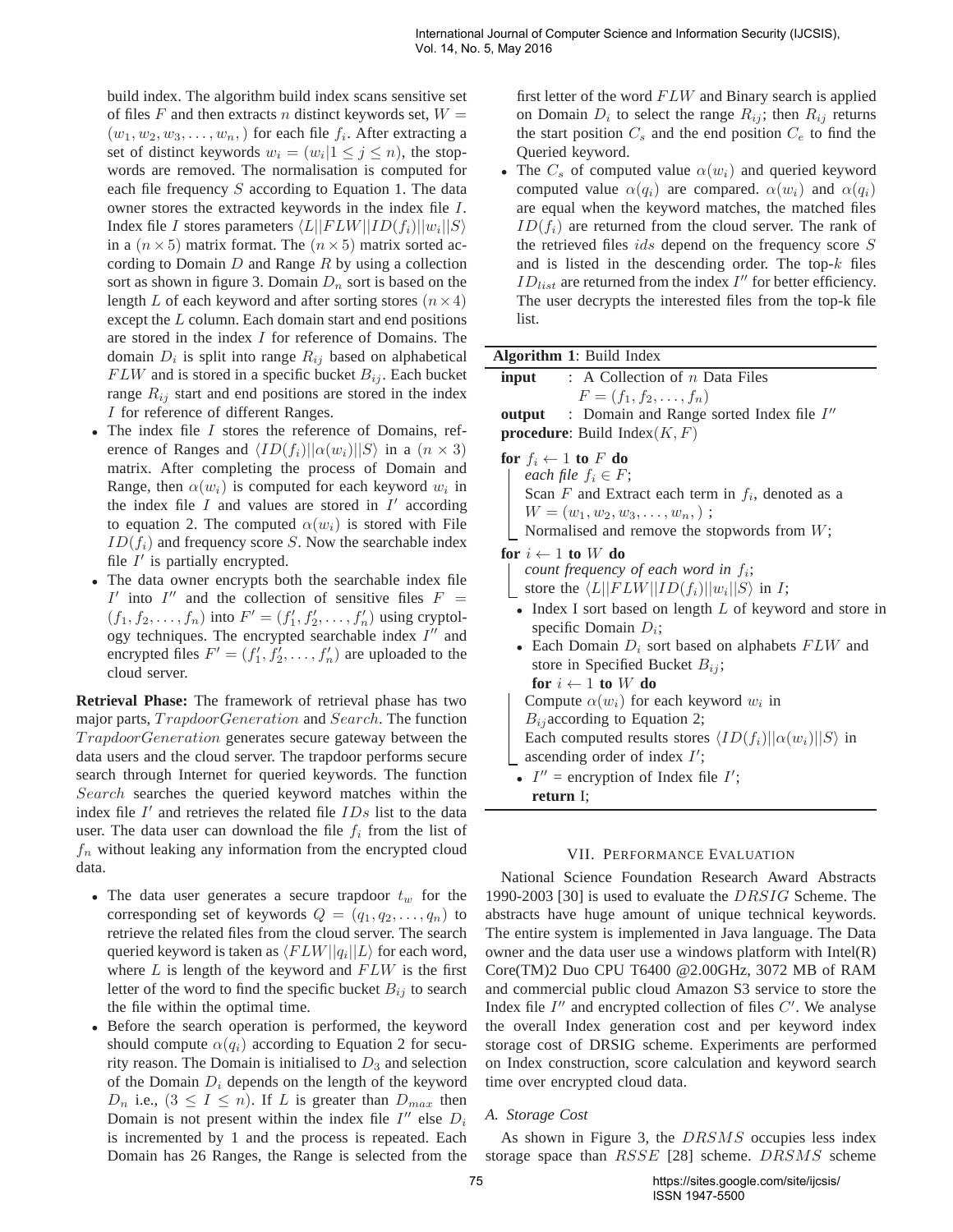build index. The algorithm build index scans sensitive set of files F and then extracts n distinct keywords set,  $W =$  $(w_1, w_2, w_3, \ldots, w_n)$  for each file  $f_i$ . After extracting a set of distinct keywords  $w_i = (w_i | 1 \le j \le n)$ , the stopwords are removed. The normalisation is computed for each file frequency  $S$  according to Equation 1. The data owner stores the extracted keywords in the index file I. Index file I stores parameters  $\langle L||FLW||ID(f_i)||w_i||S\rangle$ in a  $(n \times 5)$  matrix format. The  $(n \times 5)$  matrix sorted according to Domain  $D$  and Range  $R$  by using a collection sort as shown in figure 3. Domain  $D_n$  sort is based on the length L of each keyword and after sorting stores  $(n \times 4)$ except the L column. Each domain start and end positions are stored in the index I for reference of Domains. The domain  $D_i$  is split into range  $R_{ij}$  based on alphabetical  $FLW$  and is stored in a specific bucket  $B_{ij}$ . Each bucket range  $R_{ij}$  start and end positions are stored in the index I for reference of different Ranges.

- The index file I stores the reference of Domains, reference of Ranges and  $\langle ID(f_i)||\alpha(w_i)||S \rangle$  in a  $(n \times 3)$ matrix. After completing the process of Domain and Range, then  $\alpha(w_i)$  is computed for each keyword  $w_i$  in the index file  $I$  and values are stored in  $I'$  according to equation 2. The computed  $\alpha(w_i)$  is stored with File  $ID(f_i)$  and frequency score S. Now the searchable index file  $I'$  is partially encrypted.
- The data owner encrypts both the searchable index file I' into I'' and the collection of sensitive files  $F =$  $(f_1, f_2, \ldots, f_n)$  into  $F' = (f'_1, f'_2, \ldots, f'_n)$  using cryptology techniques. The encrypted searchable index  $I''$  and encrypted files  $F' = (f'_1, f'_2, \dots, f'_n)$  are uploaded to the cloud server.

**Retrieval Phase:** The framework of retrieval phase has two major parts, TrapdoorGeneration and Search. The function TrapdoorGeneration generates secure gateway between the data users and the cloud server. The trapdoor performs secure search through Internet for queried keywords. The function Search searches the queried keyword matches within the index file  $I'$  and retrieves the related file  $IDs$  list to the data user. The data user can download the file  $f_i$  from the list of  $f_n$  without leaking any information from the encrypted cloud data.

- The data user generates a secure trapdoor  $t_w$  for the corresponding set of keywords  $Q = (q_1, q_2, \ldots, q_n)$  to retrieve the related files from the cloud server. The search queried keyword is taken as  $\langle FLW||q_i||L\rangle$  for each word, where  $L$  is length of the keyword and  $FLW$  is the first letter of the word to find the specific bucket  $B_{ij}$  to search the file within the optimal time.
- Before the search operation is performed, the keyword should compute  $\alpha(q_i)$  according to Equation 2 for security reason. The Domain is initialised to  $D_3$  and selection of the Domain  $D_i$  depends on the length of the keyword  $D_n$  i.e.,  $(3 \leq I \leq n)$ . If L is greater than  $D_{max}$  then Domain is not present within the index file  $I''$  else  $D_i$ is incremented by 1 and the process is repeated. Each Domain has 26 Ranges, the Range is selected from the

first letter of the word  $FLW$  and Binary search is applied on Domain  $D_i$  to select the range  $R_{ij}$ ; then  $R_{ij}$  returns the start position  $C_s$  and the end position  $C_e$  to find the Queried keyword.

• The  $C_s$  of computed value  $\alpha(w_i)$  and queried keyword computed value  $\alpha(q_i)$  are compared.  $\alpha(w_i)$  and  $\alpha(q_i)$ are equal when the keyword matches, the matched files  $ID(f_i)$  are returned from the cloud server. The rank of the retrieved files ids depend on the frequency score S and is listed in the descending order. The top- $k$  files  $ID_{list}$  are returned from the index  $I''$  for better efficiency. The user decrypts the interested files from the top-k file list.

| Algorithm 1: Build Index |  |  |
|--------------------------|--|--|

| <b>input</b> : A Collection of $n$ Data Files                                 |
|-------------------------------------------------------------------------------|
| $F = (f_1, f_2, \ldots, f_n)$                                                 |
| output : Domain and Range sorted Index file I''                               |
|                                                                               |
| <b>procedure:</b> Build Index $(K, F)$                                        |
| for $f_i \leftarrow 1$ to F do                                                |
| each file $f_i \in F$ ;                                                       |
| Scan $F$ and Extract each term in $f_i$ , denoted as a                        |
| $W = (w_1, w_2, w_3, \ldots, w_n)$ ;                                          |
| Normalised and remove the stopwords from $W$ ;                                |
| for $i \leftarrow 1$ to W do                                                  |
| count frequency of each word in $f_i$ ;                                       |
| store the $\langle L  FLW  ID(f_i)  w_i  S\rangle$ in <i>I</i> ;              |
| • Index I sort based on length $L$ of keyword and store in                    |
| specific Domain $D_i$ ;                                                       |
| • Each Domain $D_i$ sort based on alphabets $FLW$ and                         |
| store in Specified Bucket $B_{ij}$ ;                                          |
| for $i \leftarrow 1$ to W do                                                  |
| Compute $\alpha(w_i)$ for each keyword $w_i$ in                               |
| $B_{ij}$ according to Equation 2;                                             |
| Each computed results stores $\langle ID(f_i)    \alpha(w_i)    S \rangle$ in |
| ascending order of index $I'$ ;                                               |
| • $I''$ = encryption of Index file $I'$ ;                                     |
| return I;                                                                     |
|                                                                               |

# VII. PERFORMANCE EVALUATION

National Science Foundation Research Award Abstracts 1990-2003 [30] is used to evaluate the DRSIG Scheme. The abstracts have huge amount of unique technical keywords. The entire system is implemented in Java language. The Data owner and the data user use a windows platform with Intel(R) Core(TM)2 Duo CPU T6400 @2.00GHz, 3072 MB of RAM and commercial public cloud Amazon S3 service to store the Index file  $I''$  and encrypted collection of files  $C'$ . We analyse the overall Index generation cost and per keyword index storage cost of DRSIG scheme. Experiments are performed on Index construction, score calculation and keyword search time over encrypted cloud data.

# *A. Storage Cost*

As shown in Figure 3, the DRSMS occupies less index storage space than RSSE [28] scheme. DRSMS scheme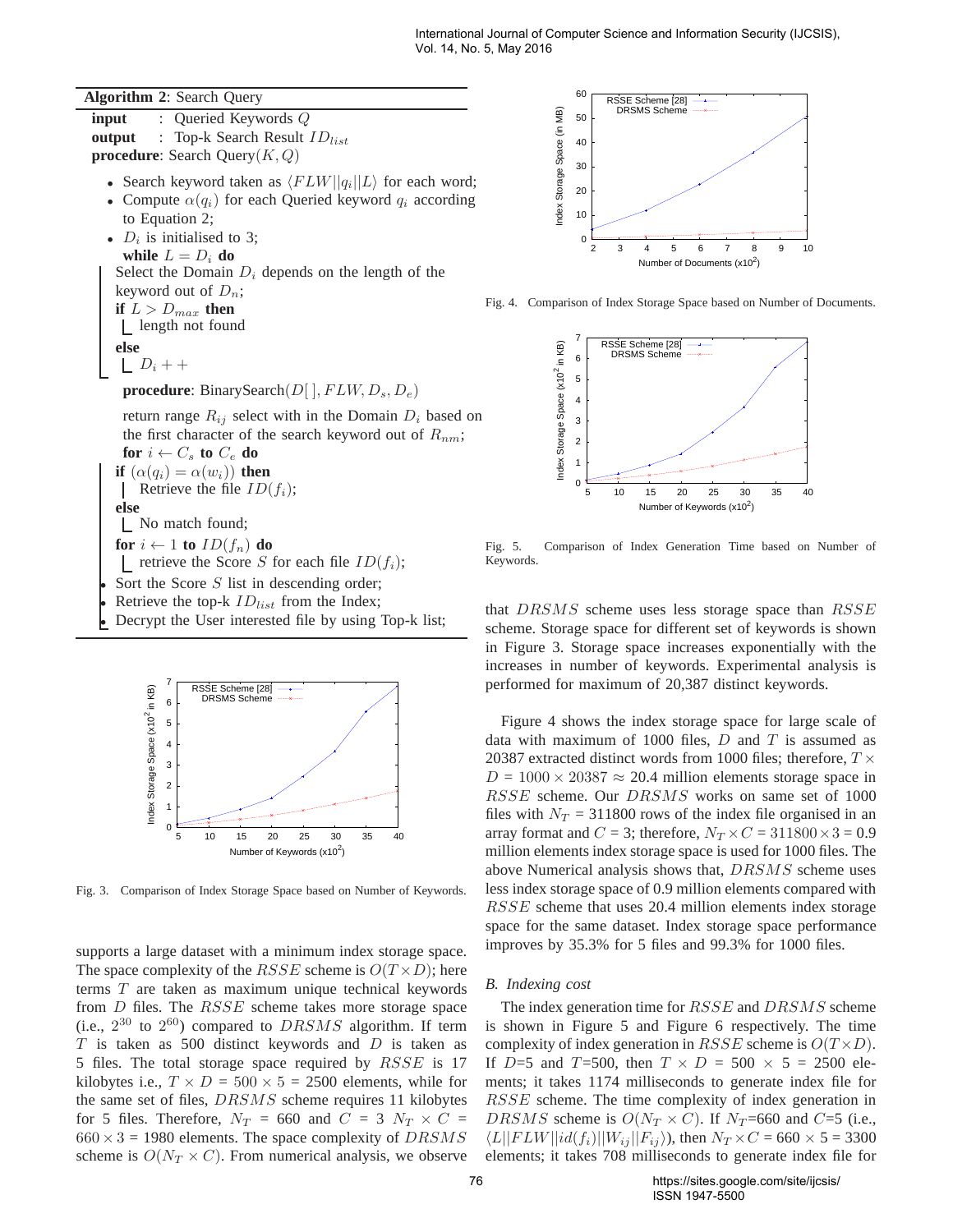**Algorithm 2**: Search Query

**input** : Queried Keywords Q **output** : Top-k Search Result  $ID_{list}$ **procedure**: Search Query(K, Q) • Search keyword taken as  $\langle FLW||q_i||L \rangle$  for each word; • Compute  $\alpha(q_i)$  for each Queried keyword  $q_i$  according to Equation 2; •  $D_i$  is initialised to 3; **while**  $L = D_i$  **do** Select the Domain  $D_i$  depends on the length of the keyword out of  $D_n$ ; **if**  $L > D_{max}$  **then** length not found **else**  $\lfloor D_i + +$ **procedure**: BinarySearch $(D[$   $], FLW, D_s, D_e)$ return range  $R_{ij}$  select with in the Domain  $D_i$  based on the first character of the search keyword out of  $R_{nm}$ ; **for**  $i \leftarrow C_s$  **to**  $C_e$  **do if**  $(\alpha(q_i) = \alpha(w_i))$  **then** Retrieve the file  $ID(f_i)$ ; **else** No match found; **for**  $i \leftarrow 1$  **to**  $ID(f_n)$  **do** retrieve the Score S for each file  $ID(f_i)$ ; Sort the Score  $S$  list in descending order; Retrieve the top-k  $ID_{list}$  from the Index;

• Decrypt the User interested file by using Top-k list;



Fig. 3. Comparison of Index Storage Space based on Number of Keywords.

supports a large dataset with a minimum index storage space. The space complexity of the *RSSE* scheme is  $O(T \times D)$ ; here terms T are taken as maximum unique technical keywords from D files. The RSSE scheme takes more storage space (i.e.,  $2^{30}$  to  $2^{60}$ ) compared to  $DRSMS$  algorithm. If term  $T$  is taken as 500 distinct keywords and  $D$  is taken as 5 files. The total storage space required by RSSE is 17 kilobytes i.e.,  $T \times D = 500 \times 5 = 2500$  elements, while for the same set of files, DRSMS scheme requires 11 kilobytes for 5 files. Therefore,  $N_T = 660$  and  $C = 3$   $N_T \times C =$  $660 \times 3 = 1980$  elements. The space complexity of  $DRSMS$ scheme is  $O(N_T \times C)$ . From numerical analysis, we observe



Fig. 4. Comparison of Index Storage Space based on Number of Documents.



Fig. 5. Comparison of Index Generation Time based on Number of Keywords.

that DRSMS scheme uses less storage space than RSSE scheme. Storage space for different set of keywords is shown in Figure 3. Storage space increases exponentially with the increases in number of keywords. Experimental analysis is performed for maximum of 20,387 distinct keywords.

Figure 4 shows the index storage space for large scale of data with maximum of 1000 files,  $D$  and  $T$  is assumed as 20387 extracted distinct words from 1000 files; therefore,  $T \times$  $D = 1000 \times 20387 \approx 20.4$  million elements storage space in RSSE scheme. Our DRSMS works on same set of 1000 files with  $N_T = 311800$  rows of the index file organised in an array format and  $C = 3$ ; therefore,  $N_T \times C = 311800 \times 3 = 0.9$ million elements index storage space is used for 1000 files. The above Numerical analysis shows that, DRSMS scheme uses less index storage space of 0.9 million elements compared with RSSE scheme that uses 20.4 million elements index storage space for the same dataset. Index storage space performance improves by 35.3% for 5 files and 99.3% for 1000 files.

## *B. Indexing cost*

The index generation time for RSSE and DRSMS scheme is shown in Figure 5 and Figure 6 respectively. The time complexity of index generation in  $RSSE$  scheme is  $O(T \times D)$ . If D=5 and T=500, then  $T \times D = 500 \times 5 = 2500$  elements; it takes 1174 milliseconds to generate index file for RSSE scheme. The time complexity of index generation in DRSMS scheme is  $O(N_T \times C)$ . If  $N_T$ =660 and C=5 (i.e.,  $\langle L||FLW||id(f_i)||W_{ij}||F_{ij}\rangle$ , then  $N_T \times C = 660 \times 5 = 3300$ elements; it takes 708 milliseconds to generate index file for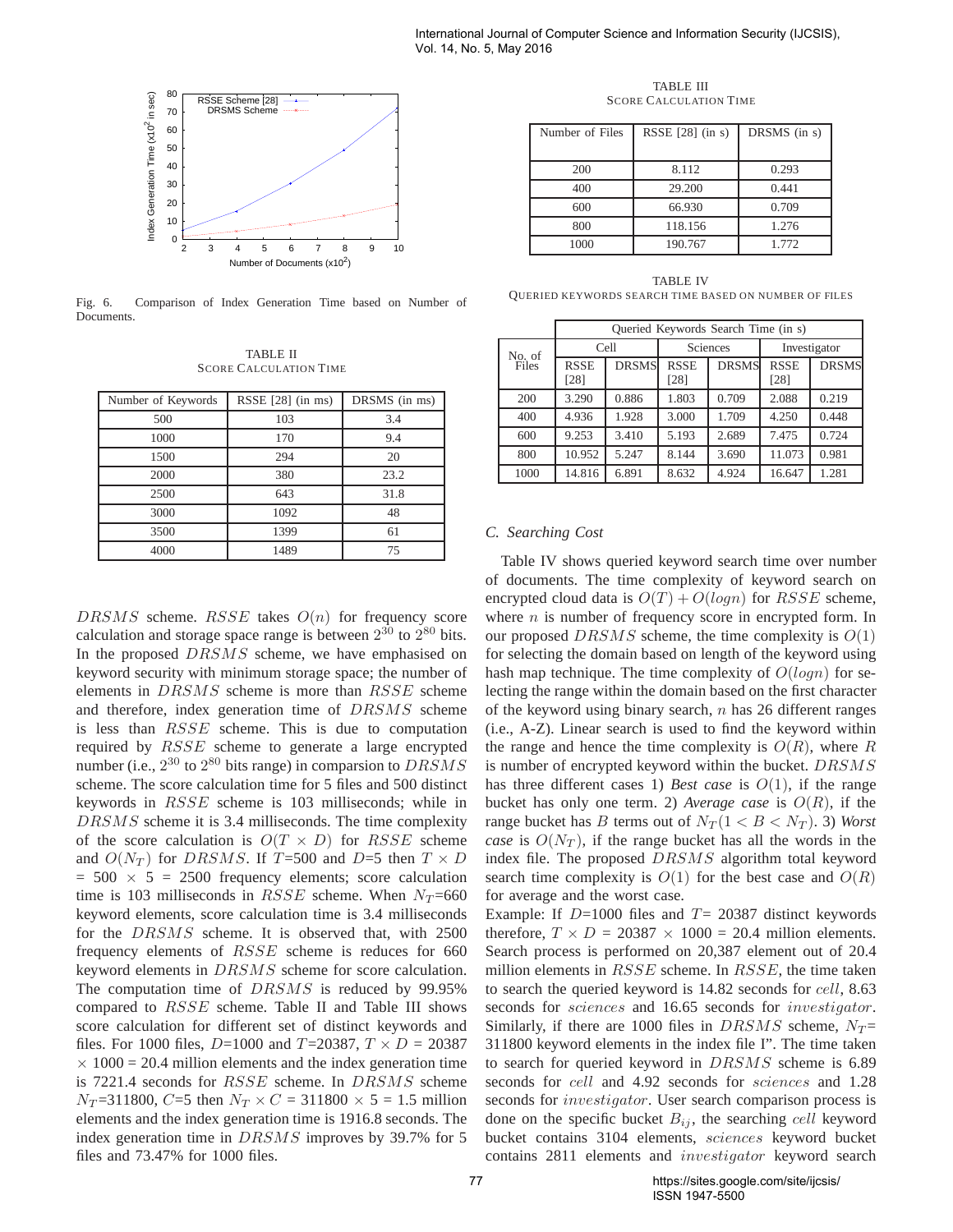

Fig. 6. Comparison of Index Generation Time based on Number of **Documents** 

TABLE II SCORE CALCULATION TIME

| Number of Keywords | RSSE $[28]$ (in ms) | DRSMS (in ms) |  |
|--------------------|---------------------|---------------|--|
| 500                | 103                 | 3.4           |  |
| 1000               | 170                 | 9.4           |  |
| 1500               | 294                 | 20            |  |
| 2000               | 380                 | 23.2          |  |
| 2500               | 643                 | 31.8          |  |
| 3000               | 1092                | 48            |  |
| 3500               | 1399                | 61            |  |
| 4000               | 1489                | 75            |  |

 $DRSMS$  scheme.  $RSSE$  takes  $O(n)$  for frequency score calculation and storage space range is between  $2^{30}$  to  $2^{80}$  bits. In the proposed  $DRSMS$  scheme, we have emphasised on keyword security with minimum storage space; the number of elements in DRSMS scheme is more than RSSE scheme and therefore, index generation time of DRSMS scheme is less than RSSE scheme. This is due to computation required by RSSE scheme to generate a large encrypted number (i.e.,  $2^{30}$  to  $2^{80}$  bits range) in comparsion to  $DRSMS$ scheme. The score calculation time for 5 files and 500 distinct keywords in RSSE scheme is 103 milliseconds; while in DRSMS scheme it is 3.4 milliseconds. The time complexity of the score calculation is  $O(T \times D)$  for RSSE scheme and  $O(N_T)$  for DRSMS. If T=500 and D=5 then  $T \times D$  $= 500 \times 5 = 2500$  frequency elements; score calculation time is 103 milliseconds in  $RSSE$  scheme. When  $N_T = 660$ keyword elements, score calculation time is 3.4 milliseconds for the DRSMS scheme. It is observed that, with 2500 frequency elements of RSSE scheme is reduces for 660 keyword elements in DRSMS scheme for score calculation. The computation time of DRSMS is reduced by 99.95% compared to RSSE scheme. Table II and Table III shows score calculation for different set of distinct keywords and files. For 1000 files,  $D=1000$  and  $T=20387$ ,  $T \times D = 20387$  $\times$  1000 = 20.4 million elements and the index generation time is 7221.4 seconds for RSSE scheme. In DRSMS scheme  $N_T = 311800$ , C=5 then  $N_T \times C = 311800 \times 5 = 1.5$  million elements and the index generation time is 1916.8 seconds. The index generation time in DRSMS improves by 39.7% for 5 files and 73.47% for 1000 files.

TABLE III SCORE CALCULATION TIME

| Number of Files | RSSE $[28]$ (in s) | DRSMS (in s) |
|-----------------|--------------------|--------------|
| 200             | 8.112              | 0.293        |
| 400             | 29.200             | 0.441        |
| 600             | 66.930             | 0.709        |
| 800             | 118.156            | 1.276        |
| 1000            | 190.767            | 1.772        |

TABLE IV QUERIED KEYWORDS SEARCH TIME BASED ON NUMBER OF FILES

|                 | Queried Keywords Search Time (in s) |              |                     |              |                     |              |
|-----------------|-------------------------------------|--------------|---------------------|--------------|---------------------|--------------|
| No. of<br>Files | Cell                                |              | Sciences            |              | Investigator        |              |
|                 | <b>RSSE</b><br>[28]                 | <b>DRSMS</b> | <b>RSSE</b><br>[28] | <b>DRSMS</b> | <b>RSSE</b><br>[28] | <b>DRSMS</b> |
| 200             | 3.290                               | 0.886        | 1.803               | 0.709        | 2.088               | 0.219        |
| 400             | 4.936                               | 1.928        | 3.000               | 1.709        | 4.250               | 0.448        |
| 600             | 9.253                               | 3.410        | 5.193               | 2.689        | 7.475               | 0.724        |
| 800             | 10.952                              | 5.247        | 8.144               | 3.690        | 11.073              | 0.981        |
| 1000            | 14.816                              | 6.891        | 8.632               | 4.924        | 16.647              | 1.281        |

# *C. Searching Cost*

Table IV shows queried keyword search time over number of documents. The time complexity of keyword search on encrypted cloud data is  $O(T) + O(log n)$  for RSSE scheme, where  $n$  is number of frequency score in encrypted form. In our proposed DRSMS scheme, the time complexity is  $O(1)$ for selecting the domain based on length of the keyword using hash map technique. The time complexity of  $O(logn)$  for selecting the range within the domain based on the first character of the keyword using binary search,  $n$  has 26 different ranges (i.e., A-Z). Linear search is used to find the keyword within the range and hence the time complexity is  $O(R)$ , where R is number of encrypted keyword within the bucket. DRSMS has three different cases 1) *Best case* is  $O(1)$ , if the range bucket has only one term. 2) *Average case* is  $O(R)$ , if the range bucket has B terms out of  $N_T (1 < B < N_T)$ . 3) *Worst case* is  $O(N_T)$ , if the range bucket has all the words in the index file. The proposed DRSMS algorithm total keyword search time complexity is  $O(1)$  for the best case and  $O(R)$ for average and the worst case.

Example: If  $D=1000$  files and  $T=20387$  distinct keywords therefore,  $T \times D = 20387 \times 1000 = 20.4$  million elements. Search process is performed on 20,387 element out of 20.4 million elements in  $RSSE$  scheme. In  $RSSE$ , the time taken to search the queried keyword is 14.82 seconds for cell, 8.63 seconds for sciences and 16.65 seconds for investigator. Similarly, if there are 1000 files in DRSMS scheme,  $N_T =$ 311800 keyword elements in the index file I". The time taken to search for queried keyword in DRSMS scheme is 6.89 seconds for *cell* and 4.92 seconds for *sciences* and 1.28 seconds for *investigator*. User search comparison process is done on the specific bucket  $B_{ij}$ , the searching cell keyword bucket contains 3104 elements, sciences keyword bucket contains 2811 elements and investigator keyword search